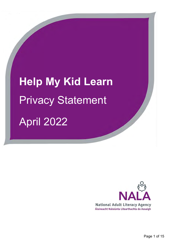**Help My Kid Learn** Privacy Statement April 2022

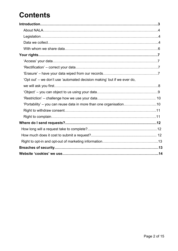# **Contents**

| 'Opt out' – we don't use 'automated decision making' but if we ever do, |  |
|-------------------------------------------------------------------------|--|
|                                                                         |  |
|                                                                         |  |
|                                                                         |  |
| 'Portability' - you can reuse data in more than one organisation10      |  |
|                                                                         |  |
|                                                                         |  |
|                                                                         |  |
|                                                                         |  |
|                                                                         |  |
|                                                                         |  |
|                                                                         |  |
|                                                                         |  |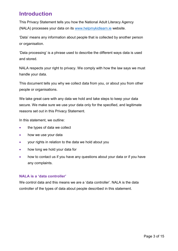# **Introduction**

This Privacy Statement tells you how the National Adult Literacy Agency (NALA) processes your data on its [www.helpmykidlearn.ie](http://www.helpmykidlearn.ie/) website.

'Data' means any information about people that is collected by another person or organisation.

'Data processing' is a phrase used to describe the different ways data is used and stored.

NALA respects your right to privacy. We comply with how the law says we must handle your data.

This document tells you why we collect data from you, or about you from other people or organisations.

We take great care with any data we hold and take steps to keep your data secure. We make sure we use your data only for the specified, and legitimate reasons set out in this Privacy Statement.

In this statement, we outline:

- the types of data we collect
- how we use your data
- your rights in relation to the data we hold about you
- how long we hold your data for
- how to contact us if you have any questions about your data or if you have any complaints.

### **NALA is a 'data controller'**

We control data and this means we are a 'data controller'. NALA is the data controller of the types of data about people described in this statement.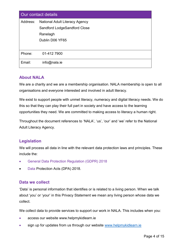| Our contact details |                                       |  |  |
|---------------------|---------------------------------------|--|--|
| Address:            | <b>National Adult Literacy Agency</b> |  |  |
|                     | Sandford LodgeSandford Close          |  |  |
|                     | Ranelagh                              |  |  |
|                     | Dublin D06 YF65                       |  |  |
|                     |                                       |  |  |
| Phone:              | 01-412 7900                           |  |  |
| Email:              | $info@nala_ie$                        |  |  |

# **About NALA**

We are a charity and we are a membership organisation. NALA membership is open to all organisations and everyone interested and involved in adult literacy.

We exist to support people with unmet literacy, numeracy and digital literacy needs. We do this so that they can play their full part in society and have access to the learning opportunities they need. We are committed to making access to literacy a human right.

Throughout the document references to 'NALA', 'us', 'our' and 'we' refer to the National Adult Literacy Agency.

# **Legislation**

We will process all data in line with the relevant data protection laws and principles. These include the:

- General Data Protection Regulation (GDPR) 2018
- Data Protection Acts (DPA) 2018.

# **Data we collect**

'Data' is personal information that identifies or is related to a living person. When we talk about 'you' or 'your' in this Privacy Statement we mean any living person whose data we collect.

We collect data to provide services to support our work in NALA. This includes when you:

- access our website www.helpmykidlearn.ie
- sign up for updates from us through our website [www.helpmykidlearn.ie](http://www.helpmykidlearn.ie/)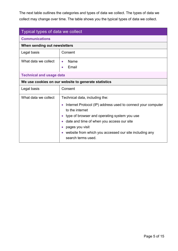The next table outlines the categories and types of data we collect. The types of data we collect may change over time. The table shows you the typical types of data we collect.

| Typical types of data we collect                     |                                                                                                                                                                                                                                                                                                                   |  |  |  |
|------------------------------------------------------|-------------------------------------------------------------------------------------------------------------------------------------------------------------------------------------------------------------------------------------------------------------------------------------------------------------------|--|--|--|
| <b>Communications</b>                                |                                                                                                                                                                                                                                                                                                                   |  |  |  |
| When sending out newsletters                         |                                                                                                                                                                                                                                                                                                                   |  |  |  |
| Legal basis                                          | Consent                                                                                                                                                                                                                                                                                                           |  |  |  |
| What data we collect                                 | Name<br>$\bullet$<br>Email<br>$\bullet$                                                                                                                                                                                                                                                                           |  |  |  |
| <b>Technical and usage data</b>                      |                                                                                                                                                                                                                                                                                                                   |  |  |  |
| We use cookies on our website to generate statistics |                                                                                                                                                                                                                                                                                                                   |  |  |  |
| Legal basis                                          | Consent                                                                                                                                                                                                                                                                                                           |  |  |  |
| What data we collect                                 | Technical data, including the:<br>Internet Protocol (IP) address used to connect your computer<br>to the internet<br>type of browser and operating system you use<br>date and time of when you access our site<br>pages you visit<br>website from which you accessed our site including any<br>search terms used. |  |  |  |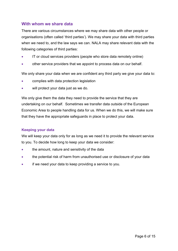# **With whom we share data**

There are various circumstances where we may share data with other people or organisations (often called 'third parties'). We may share your data with third parties when we need to, and the law says we can. NALA may share relevant data with the following categories of third parties:

- IT or cloud services providers (people who store data remotely online)
- other service providers that we appoint to process data on our behalf.

We only share your data when we are confident any third party we give your data to:

- complies with data protection legislation
- will protect your data just as we do.

We only give them the data they need to provide the service that they are undertaking on our behalf. Sometimes we transfer data outside of the European Economic Area to people handling data for us. When we do this, we will make sure that they have the appropriate safeguards in place to protect your data.

### **Keeping your data**

We will keep your data only for as long as we need it to provide the relevant service to you. To decide how long to keep your data we consider:

- the amount, nature and sensitivity of the data
- the potential risk of harm from unauthorised use or disclosure of your data
- if we need your data to keep providing a service to you.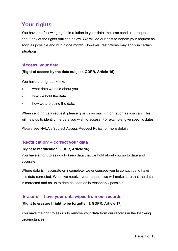# **Your rights**

You have the following rights in relation to your data. You can send us a request about any of the rights outlined below. We will do our best to handle your request as soon as possible and within one month. However, restrictions may apply in certain situations.

# **'Access' your data**

# **(Right of access by the data subject, GDPR, Article 15)**

You have the right to know:

- what data we hold about you
- why we hold the data
- how we are using the data.

When sending us a request, please give us as much information as you can. This will help us to identify the data you wish to access. For example, give specific dates.

Please see NALA's Subject Access Request Policy for more details.

# **'Rectification' – correct your data**

### **(Right to rectification, GDPR, Article 16)**

You have a right to ask us to keep data that we hold about you up to date and accurate.

Where data is inaccurate or incomplete, we encourage you to contact us to have this data corrected. When we receive your request, we will make sure that the data is corrected and as up to date as soon as is reasonably possible**.** 

# **'Erasure' – have your data wiped from our records**

### **(Right to erasure ['right to be forgotten'], GDPR, Article 17)**

You have the right to ask us to remove your data from our records in the following circumstances.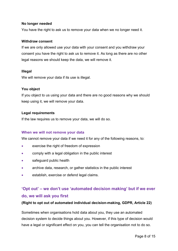#### **No longer needed**

You have the right to ask us to remove your data when we no longer need it.

#### **Withdraw consent**

If we are only allowed use your data with your consent and you withdraw your consent you have the right to ask us to remove it. As long as there are no other legal reasons we should keep the data, we will remove it.

#### **Illegal**

We will remove your data if its use is illegal.

#### **You object**

If you object to us using your data and there are no good reasons why we should keep using it, we will remove your data.

#### **Legal requirements**

If the law requires us to remove your data, we will do so.

#### **When we will not remove your data**

We cannot remove your data if we need it for any of the following reasons, to:

- exercise the right of freedom of expression
- comply with a legal obligation in the public interest
- **•** safeguard public health
- archive data, research, or gather statistics in the public interest
- establish, exercise or defend legal claims.

# **'Opt out' – we don't use 'automated decision making' but if we ever do, we will ask you first**

### **(Right to opt out of automated individual decision-making, GDPR, Article 22)**

Sometimes when organisations hold data about you, they use an automated decision system to decide things about you. However, if this type of decision would have a legal or significant effect on you, you can tell the organisation not to do so.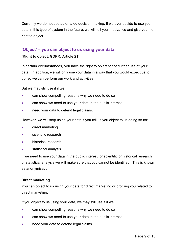Currently we do not use automated decision making. If we ever decide to use your data in this type of system in the future, we will tell you in advance and give you the right to object.

# **'Object' – you can object to us using your data**

#### **(Right to object, GDPR, Article 21)**

In certain circumstances, you have the right to object to the further use of your data. In addition, we will only use your data in a way that you would expect us to do, so we can perform our work and activities.

But we may still use it if we:

- can show compelling reasons why we need to do so
- can show we need to use your data in the public interest
- **need your data to defend legal claims.**

However, we will stop using your data if you tell us you object to us doing so for:

- direct marketing
- scientific research
- historical research
- statistical analysis.

If we need to use your data in the public interest for scientific or historical research or statistical analysis we will make sure that you cannot be identified. This is known as anonymisation.

#### **Direct marketing**

You can object to us using your data for direct marketing or profiling you related to direct marketing.

If you object to us using your data, we may still use it if we:

- **•** can show compelling reasons why we need to do so
- can show we need to use your data in the public interest
- need your data to defend legal claims.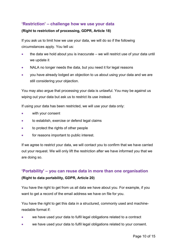# **'Restriction' – challenge how we use your data**

# **(Right to restriction of processing, GDPR, Article 18)**

If you ask us to limit how we use your data, we will do so if the following circumstances apply. You tell us:

- the data we hold about you is inaccurate we will restrict use of your data until we update it
- NALA no longer needs the data, but you need it for legal reasons
- you have already lodged an objection to us about using your data and we are still considering your objection.

You may also argue that processing your data is unlawful. You may be against us wiping out your data but ask us to restrict its use instead.

If using your data has been restricted, we will use your data only:

- with your consent
- to establish, exercise or defend legal claims
- **to protect the rights of other people**
- for reasons important to public interest.

If we agree to restrict your data, we will contact you to confirm that we have carried out your request. We will only lift the restriction after we have informed you that we are doing so.

# **'Portability' – you can reuse data in more than one organisation (Right to data portability, GDPR, Article 20)**

You have the right to get from us all data we have about you. For example, if you want to get a record of the email address we have on file for you.

You have the right to get this data in a structured, commonly used and machinereadable format if:

- we have used your data to fulfil legal obligations related to a contract
- we have used your data to fulfil legal obligations related to your consent.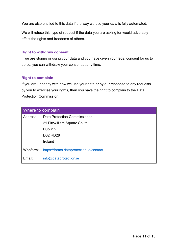You are also entitled to this data if the way we use your data is fully automated.

We will refuse this type of request if the data you are asking for would adversely affect the rights and freedoms of others.

#### **Right to withdraw consent**

If we are storing or using your data and you have given your legal consent for us to do so, you can withdraw your consent at any time.

#### **Right to complain**

If you are unhappy with how we use your data or by our response to any requests by you to exercise your rights, then you have the right to complain to the Data Protection Commission.

| Where to complain |                                         |  |
|-------------------|-----------------------------------------|--|
| Address           | Data Protection Commissioner            |  |
|                   | 21 Fitzwilliam Square South             |  |
|                   | Dublin 2                                |  |
|                   | <b>D02 RD28</b>                         |  |
|                   | Ireland                                 |  |
| Webform:          | https://forms.dataprotection.ie/contact |  |
| Email:            | info@dataprotection.ie                  |  |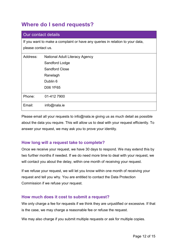# **Where do I send requests?**

| Our contact details                                                                                 |                                       |  |  |
|-----------------------------------------------------------------------------------------------------|---------------------------------------|--|--|
| If you want to make a complaint or have any queries in relation to your data,<br>please contact us. |                                       |  |  |
| Address:                                                                                            | <b>National Adult Literacy Agency</b> |  |  |
|                                                                                                     | Sandford Lodge                        |  |  |
|                                                                                                     | <b>Sandford Close</b>                 |  |  |
|                                                                                                     | Ranelagh                              |  |  |
|                                                                                                     | Dublin 6                              |  |  |
|                                                                                                     | <b>D06 YF65</b>                       |  |  |
| Phone:                                                                                              | 01-412 7900                           |  |  |
| Email:                                                                                              | info@nala.ie                          |  |  |

Please email all your requests to info@nala.ie giving us as much detail as possible about the data you require. This will allow us to deal with your request efficiently. To answer your request, we may ask you to prove your identity.

# **How long will a request take to complete?**

Once we receive your request, we have 30 days to respond. We may extend this by two further months if needed. If we do need more time to deal with your request, we will contact you about the delay, within one month of receiving your request.

If we refuse your request, we will let you know within one month of receiving your request and tell you why. You are entitled to contact the Data Protection Commission if we refuse your request.

# **How much does it cost to submit a request?**

We only charge a fee for requests if we think they are unjustified or excessive. If that is the case, we may charge a reasonable fee or refuse the request.

We may also charge if you submit multiple requests or ask for multiple copies.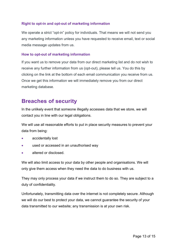# **Right to opt-in and opt-out of marketing information**

We operate a strict "opt-in" policy for individuals. That means we will not send you any marketing information unless you have requested to receive email, text or social media message updates from us.

#### **How to opt-out of marketing information**

If you want us to remove your data from our direct marketing list and do not wish to receive any further information from us (opt-out), please tell us. You do this by clicking on the link at the bottom of each email communication you receive from us. Once we get this information we will immediately remove you from our direct marketing database.

# **Breaches of security**

In the unlikely event that someone illegally accesses data that we store, we will contact you in line with our legal obligations.

We will use all reasonable efforts to put in place security measures to prevent your data from being:

- accidentally lost
- used or accessed in an unauthorised way
- altered or disclosed.

We will also limit access to your data by other people and organisations. We will only give them access when they need the data to do business with us.

They may only process your data if we instruct them to do so. They are subject to a duty of confidentiality.

Unfortunately, transmitting data over the internet is not completely secure. Although we will do our best to protect your data, we cannot guarantee the security of your data transmitted to our website; any transmission is at your own risk.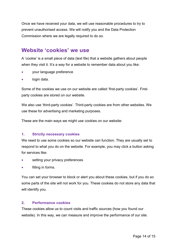Once we have received your data, we will use reasonable procedures to try to prevent unauthorised access. We will notify you and the Data Protection Commission where we are legally required to do so.

# **Website 'cookies' we use**

A 'cookie' is a small piece of data (text file) that a website gathers about people when they visit it. It's a way for a website to remember data about you like:

- your language preference
- login data.

Some of the cookies we use on our website are called 'first-party cookies'. Firstparty cookies are stored on our website.

We also use 'third-party cookies'. Third-party cookies are from other websites. We use these for advertising and marketing purposes.

These are the main ways we might use cookies on our website:

### **1. Strictly necessary cookies**

We need to use some cookies so our website can function. They are usually set to respond to what you do on the website. For example, you may click a button asking for services like:

- setting your privacy preferences
- filling in forms.

You can set your browser to block or alert you about these cookies, but if you do so some parts of the site will not work for you. These cookies do not store any data that will identify you.

#### **2. Performance cookies**

These cookies allow us to count visits and traffic sources (how you found our website). In this way, we can measure and improve the performance of our site.